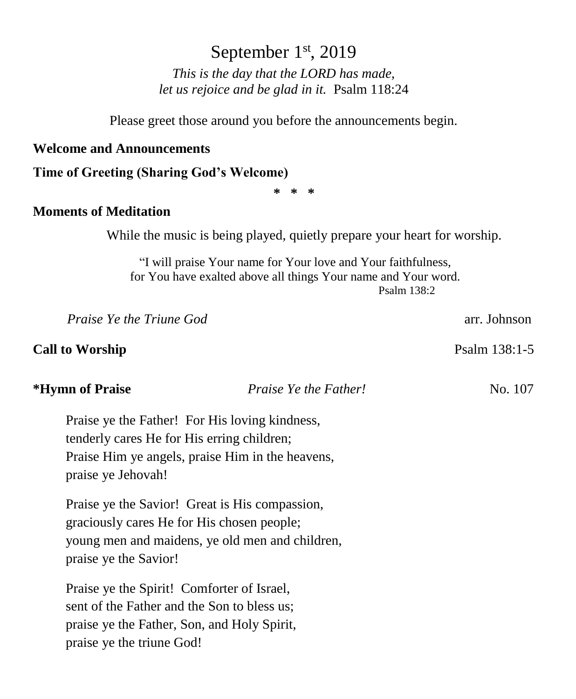# September 1st, 2019

*This is the day that the LORD has made, let us rejoice and be glad in it.* Psalm 118:24

Please greet those around you before the announcements begin.

#### **Welcome and Announcements**

#### **Time of Greeting (Sharing God's Welcome)**

**\* \* \***

### **Moments of Meditation**

While the music is being played, quietly prepare your heart for worship.

"I will praise Your name for Your love and Your faithfulness, for You have exalted above all things Your name and Your word. Psalm 138:2

*Praise Ye the Triune God* **arrival in the Trium** God **arrival in the Structure of the Trium** God **arrival in the Structure of the Structure** of the Structure of the Structure of the Structure of the Structure of the Struc

### **Call to Worship** Psalm 138:1-5

#### **\*Hymn of Praise** *Praise Ye the Father!* No. 107

Praise ye the Father! For His loving kindness, tenderly cares He for His erring children; Praise Him ye angels, praise Him in the heavens, praise ye Jehovah!

Praise ye the Savior! Great is His compassion, graciously cares He for His chosen people; young men and maidens, ye old men and children, praise ye the Savior!

Praise ye the Spirit! Comforter of Israel, sent of the Father and the Son to bless us; praise ye the Father, Son, and Holy Spirit, praise ye the triune God!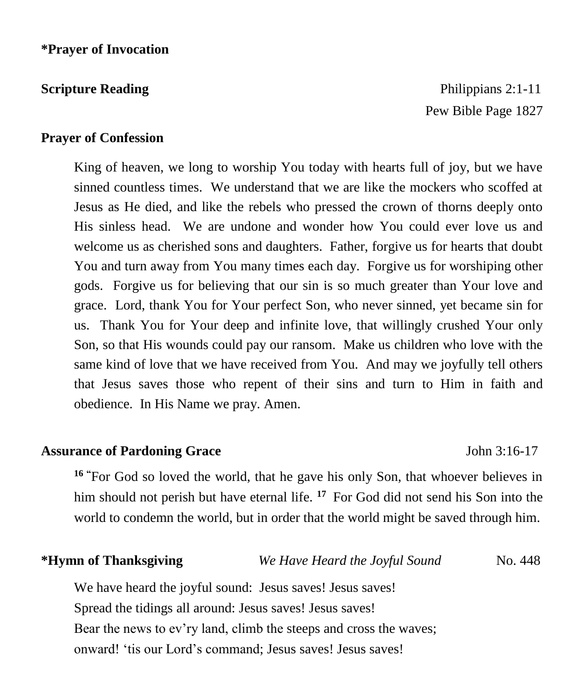**Scripture Reading**  Philippians 2:1-11 Pew Bible Page 1827

### **Prayer of Confession**

King of heaven, we long to worship You today with hearts full of joy, but we have sinned countless times. We understand that we are like the mockers who scoffed at Jesus as He died, and like the rebels who pressed the crown of thorns deeply onto His sinless head. We are undone and wonder how You could ever love us and welcome us as cherished sons and daughters. Father, forgive us for hearts that doubt You and turn away from You many times each day. Forgive us for worshiping other gods. Forgive us for believing that our sin is so much greater than Your love and grace. Lord, thank You for Your perfect Son, who never sinned, yet became sin for us. Thank You for Your deep and infinite love, that willingly crushed Your only Son, so that His wounds could pay our ransom. Make us children who love with the same kind of love that we have received from You. And may we joyfully tell others that Jesus saves those who repent of their sins and turn to Him in faith and obedience. In His Name we pray. Amen.

#### **Assurance of Pardoning Grace** John 3:16-17

**<sup>16</sup> "**For God so loved the world, that he gave his only Son, that whoever believes in him should not perish but have eternal life. <sup>17</sup> For God did not send his Son into the world to condemn the world, but in order that the world might be saved through him.

**\*Hymn of Thanksgiving** *We Have Heard the Joyful Sound* No. 448

We have heard the joyful sound: Jesus saves! Jesus saves! Spread the tidings all around: Jesus saves! Jesus saves! Bear the news to ev'ry land, climb the steeps and cross the waves; onward! 'tis our Lord's command; Jesus saves! Jesus saves!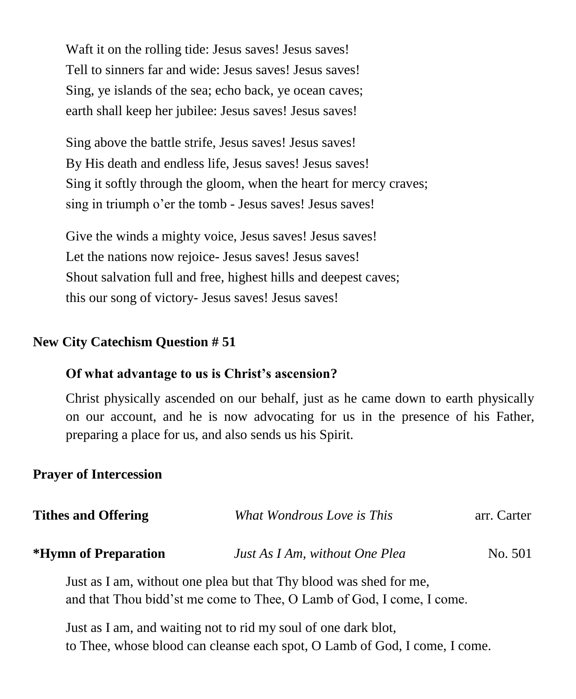Waft it on the rolling tide: Jesus saves! Jesus saves! Tell to sinners far and wide: Jesus saves! Jesus saves! Sing, ye islands of the sea; echo back, ye ocean caves; earth shall keep her jubilee: Jesus saves! Jesus saves!

Sing above the battle strife, Jesus saves! Jesus saves! By His death and endless life, Jesus saves! Jesus saves! Sing it softly through the gloom, when the heart for mercy craves; sing in triumph o'er the tomb - Jesus saves! Jesus saves!

Give the winds a mighty voice, Jesus saves! Jesus saves! Let the nations now rejoice- Jesus saves! Jesus saves! Shout salvation full and free, highest hills and deepest caves; this our song of victory- Jesus saves! Jesus saves!

### **New City Catechism Question # 51**

### **Of what advantage to us is Christ's ascension?**

Christ physically ascended on our behalf, just as he came down to earth physically on our account, and he is now advocating for us in the presence of his Father, preparing a place for us, and also sends us his Spirit.

### **Prayer of Intercession**

| <b>Tithes and Offering</b> | What Wondrous Love is This                                            | arr. Carter |
|----------------------------|-----------------------------------------------------------------------|-------------|
| *Hymn of Preparation       | Just As I Am, without One Plea                                        | No. 501     |
|                            | Just as I am, without one plea but that Thy blood was shed for me,    |             |
|                            | and that Thou bidd'st me come to Thee, O Lamb of God, I come, I come. |             |

Just as I am, and waiting not to rid my soul of one dark blot, to Thee, whose blood can cleanse each spot, O Lamb of God, I come, I come.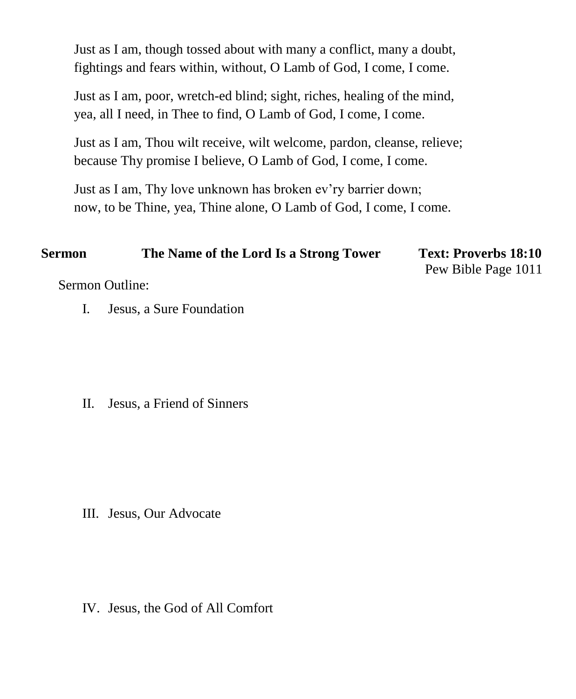Just as I am, though tossed about with many a conflict, many a doubt, fightings and fears within, without, O Lamb of God, I come, I come.

Just as I am, poor, wretch-ed blind; sight, riches, healing of the mind, yea, all I need, in Thee to find, O Lamb of God, I come, I come.

Just as I am, Thou wilt receive, wilt welcome, pardon, cleanse, relieve; because Thy promise I believe, O Lamb of God, I come, I come.

Just as I am, Thy love unknown has broken ev'ry barrier down; now, to be Thine, yea, Thine alone, O Lamb of God, I come, I come.

| <b>Sermon</b> | The Name of the Lord Is a Strong Tower | <b>Text: Proverbs 18:10</b> |
|---------------|----------------------------------------|-----------------------------|
|               |                                        | Pew Bible Page 1011         |

Sermon Outline:

I. Jesus, a Sure Foundation

II. Jesus, a Friend of Sinners

III. Jesus, Our Advocate

IV. Jesus, the God of All Comfort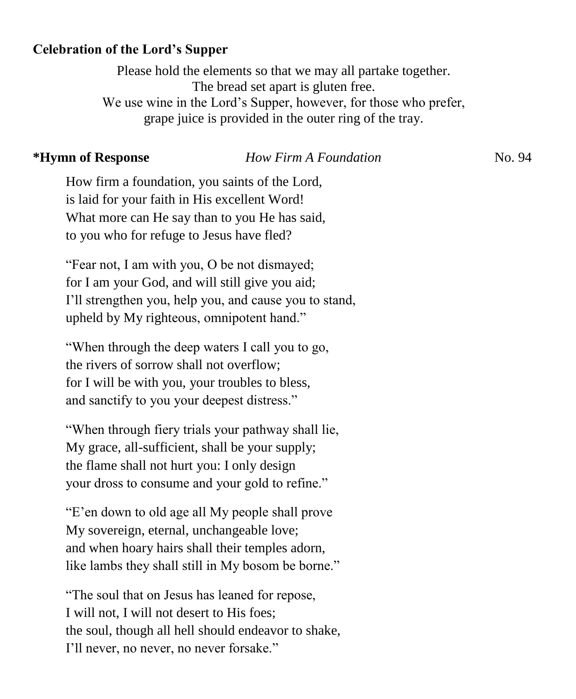## **Celebration of the Lord's Supper**

Please hold the elements so that we may all partake together. The bread set apart is gluten free. We use wine in the Lord's Supper, however, for those who prefer, grape juice is provided in the outer ring of the tray.

### **\*Hymn of Response** *How Firm A Foundation*No. 94

How firm a foundation, you saints of the Lord, is laid for your faith in His excellent Word! What more can He say than to you He has said, to you who for refuge to Jesus have fled?

"Fear not, I am with you, O be not dismayed; for I am your God, and will still give you aid; I'll strengthen you, help you, and cause you to stand, upheld by My righteous, omnipotent hand."

"When through the deep waters I call you to go, the rivers of sorrow shall not overflow; for I will be with you, your troubles to bless, and sanctify to you your deepest distress."

"When through fiery trials your pathway shall lie, My grace, all-sufficient, shall be your supply; the flame shall not hurt you: I only design your dross to consume and your gold to refine."

"E'en down to old age all My people shall prove My sovereign, eternal, unchangeable love; and when hoary hairs shall their temples adorn, like lambs they shall still in My bosom be borne."

"The soul that on Jesus has leaned for repose, I will not, I will not desert to His foes; the soul, though all hell should endeavor to shake, I'll never, no never, no never forsake."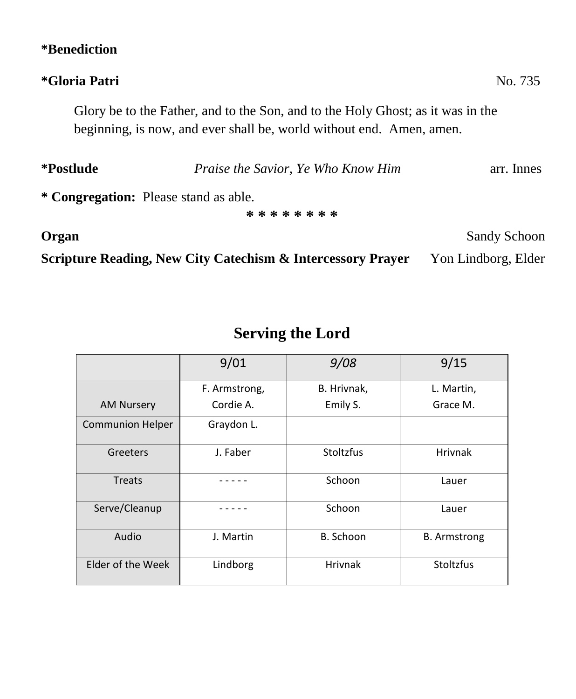# **\*Benediction**

## **\*Gloria Patri** No. 735

Glory be to the Father, and to the Son, and to the Holy Ghost; as it was in the beginning, is now, and ever shall be, world without end. Amen, amen.

| *Postlude                             | Praise the Savior, Ye Who Know Him<br>arr. Innes |  |  |
|---------------------------------------|--------------------------------------------------|--|--|
| * Congregation: Please stand as able. |                                                  |  |  |
|                                       | * * * * * * * *                                  |  |  |

**Scripture Reading, New City Catechism & Intercessory Prayer** Yon Lindborg, Elder

# **Serving the Lord**

|                         | 9/01          | 9/08           | 9/15                |
|-------------------------|---------------|----------------|---------------------|
|                         | F. Armstrong, | B. Hrivnak,    | L. Martin,          |
| <b>AM Nursery</b>       | Cordie A.     | Emily S.       | Grace M.            |
| <b>Communion Helper</b> | Graydon L.    |                |                     |
| Greeters                | J. Faber      | Stoltzfus      | <b>Hrivnak</b>      |
| <b>Treats</b>           |               | Schoon         | Lauer               |
| Serve/Cleanup           |               | Schoon         | Lauer               |
| Audio                   | J. Martin     | B. Schoon      | <b>B.</b> Armstrong |
| Elder of the Week       | Lindborg      | <b>Hrivnak</b> | Stoltzfus           |

**Organ** Sandy Schoon Sandy Schoon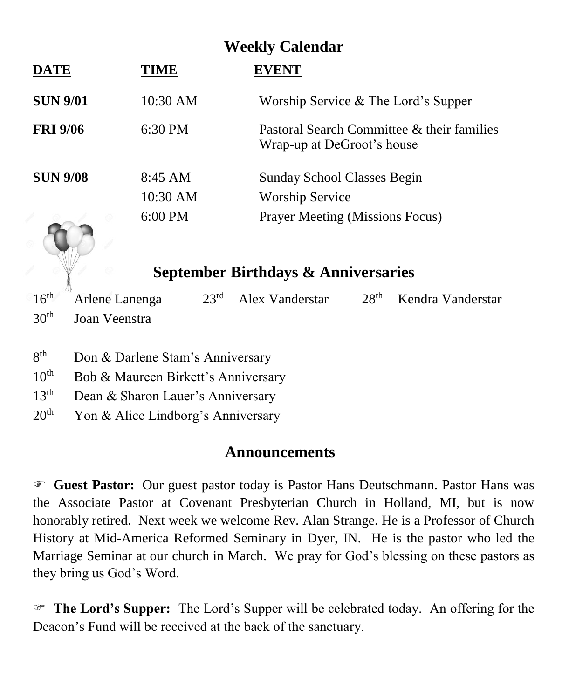# **Weekly Calendar**

| DATE            | NH.               | 7ENT                                                                     |
|-----------------|-------------------|--------------------------------------------------------------------------|
| <b>SUN 9/01</b> | 10:30 AM          | Worship Service $&$ The Lord's Supper                                    |
| <b>FRI 9/06</b> | $6:30$ PM         | Pastoral Search Committee & their families<br>Wrap-up at DeGroot's house |
| <b>SUN 9/08</b> | $8:45$ AM         | <b>Sunday School Classes Begin</b>                                       |
|                 | 10:30 AM          | <b>Worship Service</b>                                                   |
|                 | $6:00 \text{ PM}$ | <b>Prayer Meeting (Missions Focus)</b>                                   |

# **September Birthdays & Anniversaries**

 $16<sup>th</sup>$ Arlene Lanenga 23<sup>rd</sup> Alex Vanderstar 28<sup>th</sup> Kendra Vanderstar 30th Joan Veenstra

- $8<sup>th</sup>$ Don & Darlene Stam's Anniversary
- 10<sup>th</sup> Bob & Maureen Birkett's Anniversary
- $13<sup>th</sup>$  Dean & Sharon Lauer's Anniversary
- $20<sup>th</sup>$  Yon & Alice Lindborg's Anniversary

# **Announcements**

 **Guest Pastor:** Our guest pastor today is Pastor Hans Deutschmann. Pastor Hans was the Associate Pastor at Covenant Presbyterian Church in Holland, MI, but is now honorably retired. Next week we welcome Rev. Alan Strange. He is a Professor of Church History at Mid-America Reformed Seminary in Dyer, IN. He is the pastor who led the Marriage Seminar at our church in March. We pray for God's blessing on these pastors as they bring us God's Word.

 **The Lord's Supper:** The Lord's Supper will be celebrated today. An offering for the Deacon's Fund will be received at the back of the sanctuary.